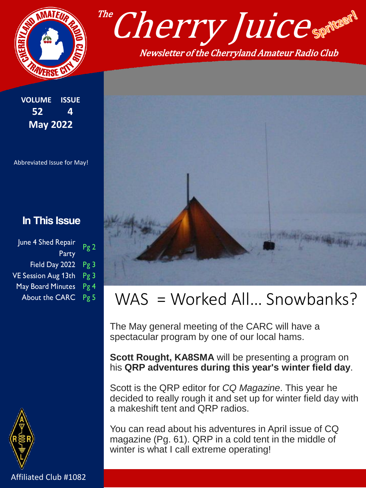

**VOLUME ISSUE 52 4 May 2022**

Abbreviated Issue for May!

#### In This Issue

| June 4 Shed Repair       | Pg2 |
|--------------------------|-----|
| Party                    |     |
| Field Day 2022           | Pg3 |
| VE Session Aug 13th Pg 3 |     |
| May Board Minutes        | Pg4 |
| About the CARC Pg 5      |     |





## WAS = Worked All... Snowbanks?

The May general meeting of the CARC will have a spectacular program by one of our local hams.

**Scott Rought, KA8SMA** will be presenting a program on his **QRP adventures during this year's winter field day**.

Scott is the QRP editor for *CQ Magazine*. This year he decided to really rough it and set up for winter field day with a makeshift tent and QRP radios.

You can read about his adventures in April issue of CQ magazine (Pg. 61). QRP in a cold tent in the middle of winter is what I call extreme operating!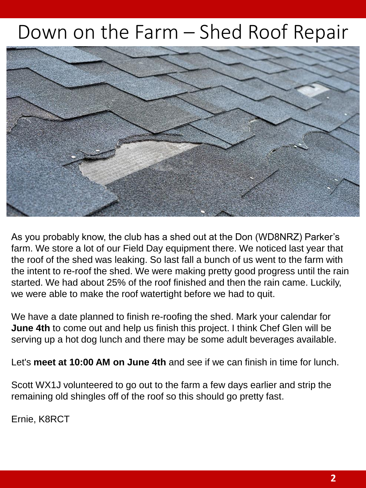# Down on the Farm – Shed Roof Repair



As you probably know, the club has a shed out at the Don (WD8NRZ) Parker's farm. We store a lot of our Field Day equipment there. We noticed last year that the roof of the shed was leaking. So last fall a bunch of us went to the farm with the intent to re-roof the shed. We were making pretty good progress until the rain started. We had about 25% of the roof finished and then the rain came. Luckily, we were able to make the roof watertight before we had to quit.

We have a date planned to finish re-roofing the shed. Mark your calendar for **June 4th** to come out and help us finish this project. I think Chef Glen will be serving up a hot dog lunch and there may be some adult beverages available.

Let's **meet at 10:00 AM on June 4th** and see if we can finish in time for lunch.

Scott WX1J volunteered to go out to the farm a few days earlier and strip the remaining old shingles off of the roof so this should go pretty fast.

Ernie, K8RCT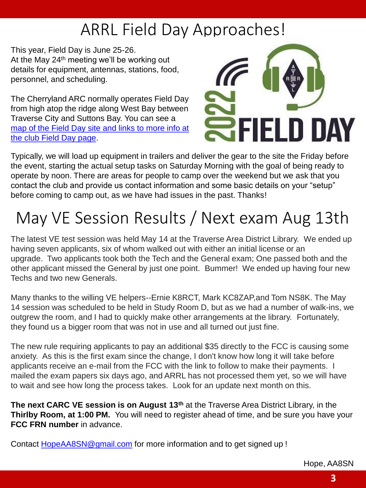# ARRL Field Day Approaches!

This year, Field Day is June 25-26. At the May  $24<sup>th</sup>$  meeting we'll be working out details for equipment, antennas, stations, food, personnel, and scheduling.

The Cherryland ARC normally operates Field Day from high atop the ridge along West Bay between Traverse City and Suttons Bay. You can see a [map of the Field Day site and links to more info at](http://cherrylandarc.com/?page_id=172)  the club Field Day page.



Typically, we will load up equipment in trailers and deliver the gear to the site the Friday before the event, starting the actual setup tasks on Saturday Morning with the goal of being ready to operate by noon. There are areas for people to camp over the weekend but we ask that you contact the club and provide us contact information and some basic details on your "setup" before coming to camp out, as we have had issues in the past. Thanks!

# May VE Session Results / Next exam Aug 13th

The latest VE test session was held May 14 at the Traverse Area District Library. We ended up having seven applicants, six of whom walked out with either an initial license or an upgrade. Two applicants took both the Tech and the General exam; One passed both and the other applicant missed the General by just one point. Bummer! We ended up having four new Techs and two new Generals.

Many thanks to the willing VE helpers--Ernie K8RCT, Mark KC8ZAP,and Tom NS8K. The May 14 session was scheduled to be held in Study Room D, but as we had a number of walk-ins, we outgrew the room, and I had to quickly make other arrangements at the library. Fortunately, they found us a bigger room that was not in use and all turned out just fine.

The new rule requiring applicants to pay an additional \$35 directly to the FCC is causing some anxiety. As this is the first exam since the change, I don't know how long it will take before applicants receive an e-mail from the FCC with the link to follow to make their payments. I mailed the exam papers six days ago, and ARRL has not processed them yet, so we will have to wait and see how long the process takes. Look for an update next month on this.

**The next CARC VE session is on August 13th** at the Traverse Area District Library, in the **Thirlby Room, at 1:00 PM.** You will need to register ahead of time, and be sure you have your **FCC FRN number** in advance.

Contact [HopeAA8SN@gmail.com](mailto:HopeAA8SN@gmail.com) for more information and to get signed up !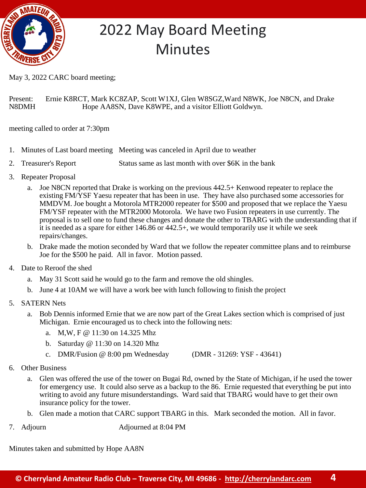

## 2022 May Board Meeting **Minutes**

May 3, 2022 CARC board meeting;

Present: Ernie K8RCT, Mark KC8ZAP, Scott W1XJ, Glen W8SGZ,Ward N8WK, Joe N8CN, and Drake N8DMH Hope AA8SN, Dave K8WPE, and a visitor Elliott Goldwyn.

meeting called to order at 7:30pm

- 1. Minutes of Last board meeting Meeting was canceled in April due to weather
- 2. Treasurer's Report Status same as last month with over \$6K in the bank
- 3. Repeater Proposal
	- a. Joe N8CN reported that Drake is working on the previous 442.5+ Kenwood repeater to replace the existing FM/YSF Yaesu repeater that has been in use. They have also purchased some accessories for MMDVM. Joe bought a Motorola MTR2000 repeater for \$500 and proposed that we replace the Yaesu FM/YSF repeater with the MTR2000 Motorola. We have two Fusion repeaters in use currently. The proposal is to sell one to fund these changes and donate the other to TBARG with the understanding that if it is needed as a spare for either 146.86 or 442.5+, we would temporarily use it while we seek repairs/changes.
	- b. Drake made the motion seconded by Ward that we follow the repeater committee plans and to reimburse Joe for the \$500 he paid. All in favor. Motion passed.
- 4. Date to Reroof the shed
	- a. May 31 Scott said he would go to the farm and remove the old shingles.
	- b. June 4 at 10AM we will have a work bee with lunch following to finish the project
- 5. SATERN Nets
	- a. Bob Dennis informed Ernie that we are now part of the Great Lakes section which is comprised of just Michigan. Ernie encouraged us to check into the following nets:
		- a. M,W, F @ 11:30 on 14.325 Mhz
		- b. Saturday @ 11:30 on 14.320 Mhz
		- c. DMR/Fusion @ 8:00 pm Wednesday (DMR 31269: YSF 43641)
- 6. Other Business
	- a. Glen was offered the use of the tower on Bugai Rd, owned by the State of Michigan, if he used the tower for emergency use. It could also serve as a backup to the 86. Ernie requested that everything be put into writing to avoid any future misunderstandings. Ward said that TBARG would have to get their own insurance policy for the tower.
	- b. Glen made a motion that CARC support TBARG in this. Mark seconded the motion. All in favor.
- 7. Adjourn Adjourned at 8:04 PM

Minutes taken and submitted by Hope AA8N